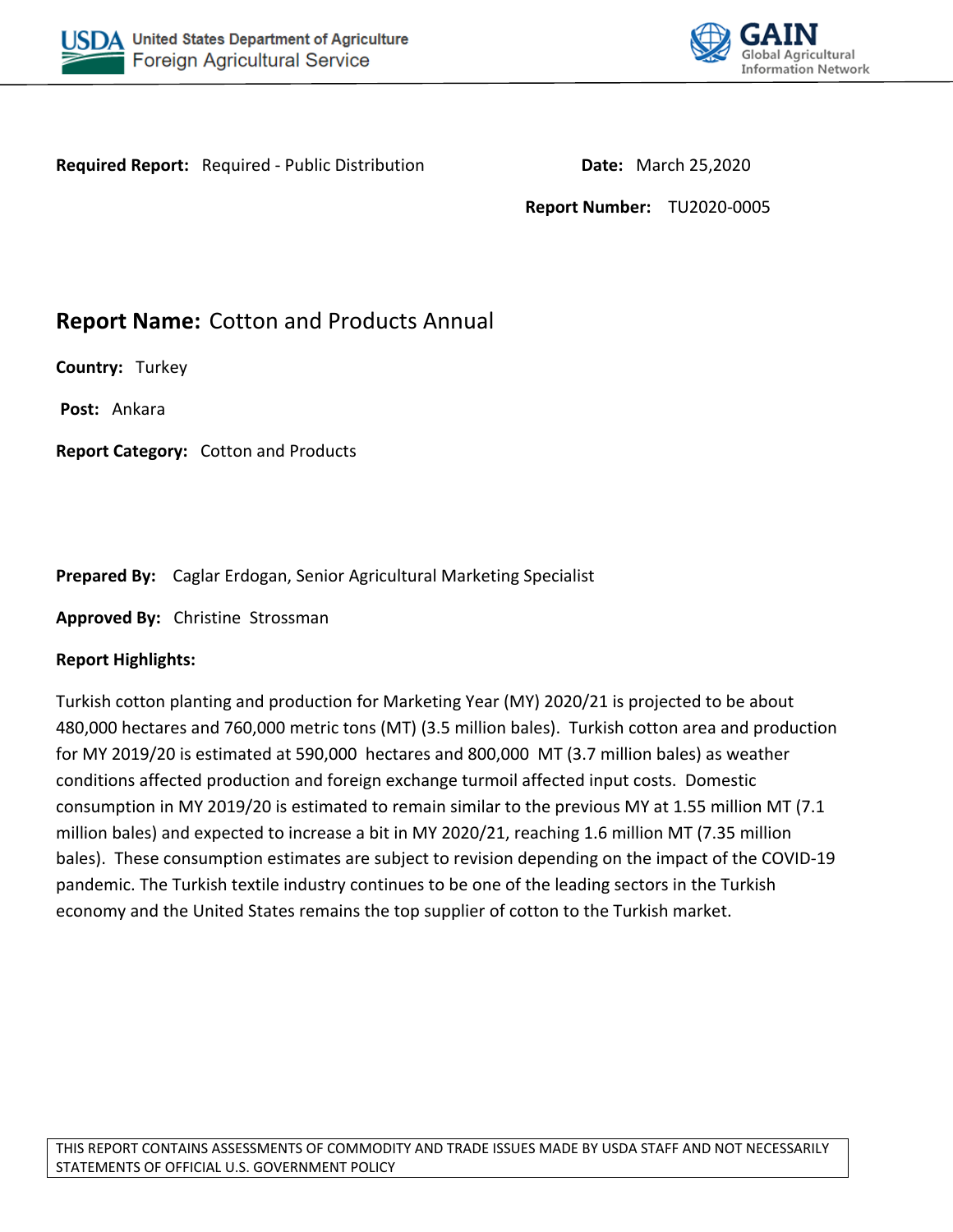



**Required Report:** Required - Public Distribution **Date:** March 25,2020

**Report Number:** TU2020-0005

# **Report Name:** Cotton and Products Annual

**Country:** Turkey

**Post:** Ankara

**Report Category:** Cotton and Products

**Prepared By:** Caglar Erdogan, Senior Agricultural Marketing Specialist

**Approved By:** Christine Strossman

### **Report Highlights:**

Turkish cotton planting and production for Marketing Year (MY) 2020/21 is projected to be about 480,000 hectares and 760,000 metric tons (MT) (3.5 million bales). Turkish cotton area and production for MY 2019/20 is estimated at 590,000 hectares and 800,000 MT (3.7 million bales) as weather conditions affected production and foreign exchange turmoil affected input costs. Domestic consumption in MY 2019/20 is estimated to remain similar to the previous MY at 1.55 million MT (7.1 million bales) and expected to increase a bit in MY 2020/21, reaching 1.6 million MT (7.35 million bales). These consumption estimates are subject to revision depending on the impact of the COVID-19 pandemic. The Turkish textile industry continues to be one of the leading sectors in the Turkish economy and the United States remains the top supplier of cotton to the Turkish market.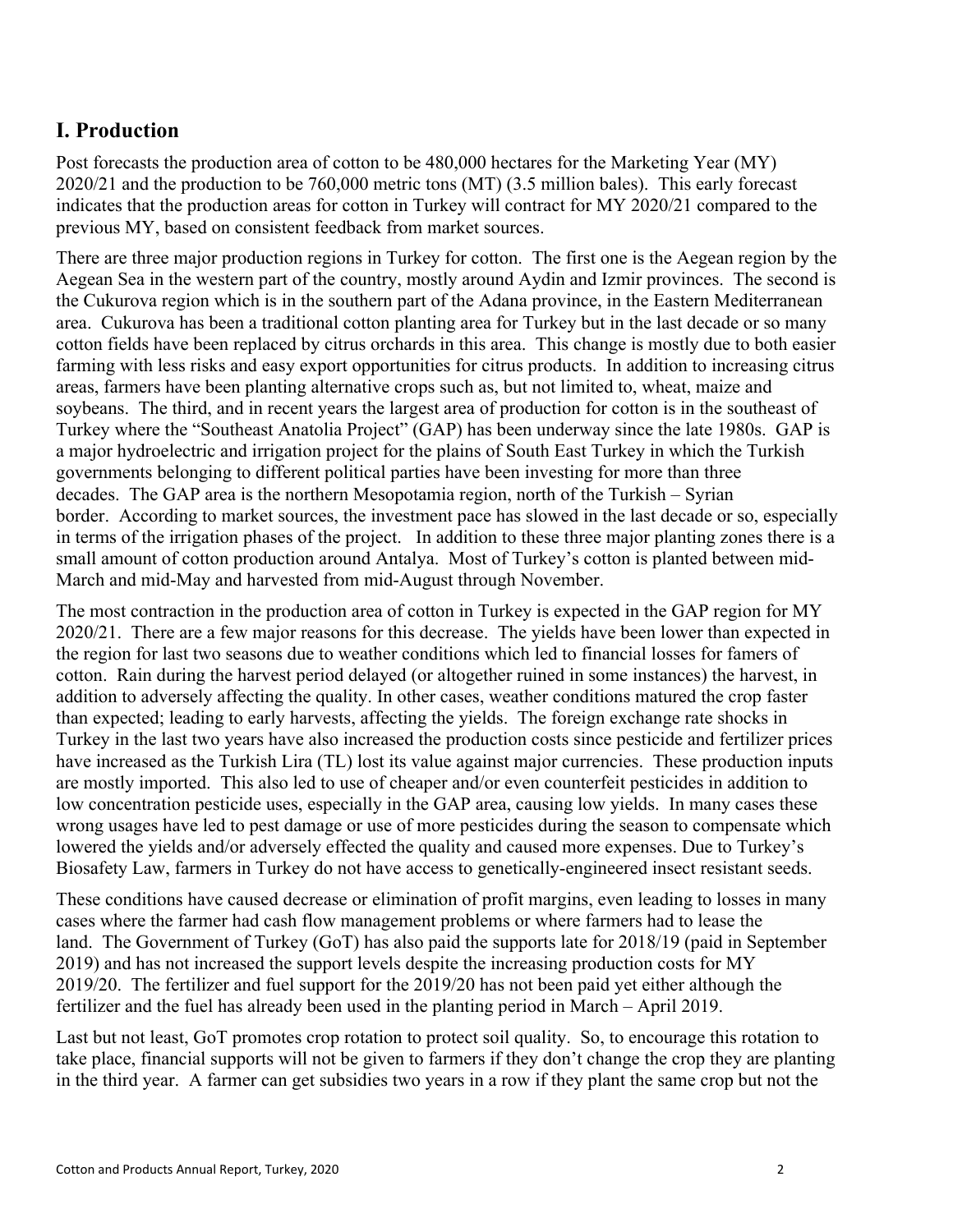## **I. Production**

Post forecasts the production area of cotton to be 480,000 hectares for the Marketing Year (MY) 2020/21 and the production to be 760,000 metric tons (MT) (3.5 million bales). This early forecast indicates that the production areas for cotton in Turkey will contract for MY 2020/21 compared to the previous MY, based on consistent feedback from market sources.

There are three major production regions in Turkey for cotton. The first one is the Aegean region by the Aegean Sea in the western part of the country, mostly around Aydin and Izmir provinces. The second is the Cukurova region which is in the southern part of the Adana province, in the Eastern Mediterranean area. Cukurova has been a traditional cotton planting area for Turkey but in the last decade or so many cotton fields have been replaced by citrus orchards in this area. This change is mostly due to both easier farming with less risks and easy export opportunities for citrus products. In addition to increasing citrus areas, farmers have been planting alternative crops such as, but not limited to, wheat, maize and soybeans. The third, and in recent years the largest area of production for cotton is in the southeast of Turkey where the "Southeast Anatolia Project" (GAP) has been underway since the late 1980s. GAP is a major hydroelectric and irrigation project for the plains of South East Turkey in which the Turkish governments belonging to different political parties have been investing for more than three decades. The GAP area is the northern Mesopotamia region, north of the Turkish – Syrian border. According to market sources, the investment pace has slowed in the last decade or so, especially in terms of the irrigation phases of the project. In addition to these three major planting zones there is a small amount of cotton production around Antalya. Most of Turkey's cotton is planted between mid-March and mid-May and harvested from mid-August through November.

The most contraction in the production area of cotton in Turkey is expected in the GAP region for MY 2020/21. There are a few major reasons for this decrease. The yields have been lower than expected in the region for last two seasons due to weather conditions which led to financial losses for famers of cotton. Rain during the harvest period delayed (or altogether ruined in some instances) the harvest, in addition to adversely affecting the quality. In other cases, weather conditions matured the crop faster than expected; leading to early harvests, affecting the yields. The foreign exchange rate shocks in Turkey in the last two years have also increased the production costs since pesticide and fertilizer prices have increased as the Turkish Lira (TL) lost its value against major currencies. These production inputs are mostly imported. This also led to use of cheaper and/or even counterfeit pesticides in addition to low concentration pesticide uses, especially in the GAP area, causing low yields. In many cases these wrong usages have led to pest damage or use of more pesticides during the season to compensate which lowered the yields and/or adversely effected the quality and caused more expenses. Due to Turkey's Biosafety Law, farmers in Turkey do not have access to genetically-engineered insect resistant seeds.

These conditions have caused decrease or elimination of profit margins, even leading to losses in many cases where the farmer had cash flow management problems or where farmers had to lease the land. The Government of Turkey (GoT) has also paid the supports late for 2018/19 (paid in September 2019) and has not increased the support levels despite the increasing production costs for MY 2019/20. The fertilizer and fuel support for the 2019/20 has not been paid yet either although the fertilizer and the fuel has already been used in the planting period in March – April 2019.

Last but not least, GoT promotes crop rotation to protect soil quality. So, to encourage this rotation to take place, financial supports will not be given to farmers if they don't change the crop they are planting in the third year. A farmer can get subsidies two years in a row if they plant the same crop but not the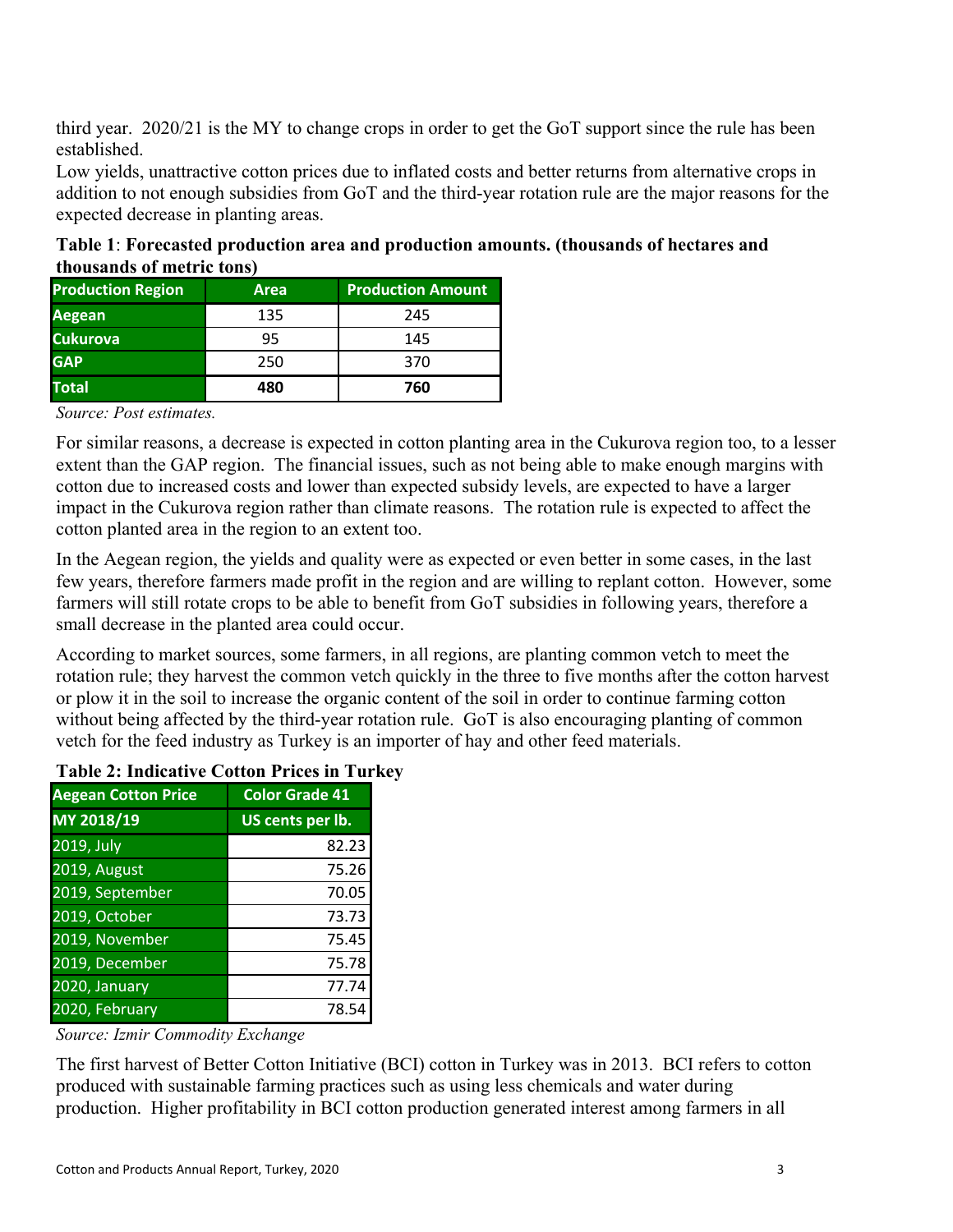third year. 2020/21 is the MY to change crops in order to get the GoT support since the rule has been established.

Low yields, unattractive cotton prices due to inflated costs and better returns from alternative crops in addition to not enough subsidies from GoT and the third-year rotation rule are the major reasons for the expected decrease in planting areas.

**Table 1**: **Forecasted production area and production amounts. (thousands of hectares and thousands of metric tons)**

| <b>Production Region</b> | Area | <b>Production Amount</b> |
|--------------------------|------|--------------------------|
| <b>Aegean</b>            | 135  | 245                      |
| <b>Cukurova</b>          | 95   | 145                      |
| <b>GAP</b>               | 250  | 370                      |
| <b>Total</b>             | 480  | 760                      |

#### *Source: Post estimates.*

For similar reasons, a decrease is expected in cotton planting area in the Cukurova region too, to a lesser extent than the GAP region. The financial issues, such as not being able to make enough margins with cotton due to increased costs and lower than expected subsidy levels, are expected to have a larger impact in the Cukurova region rather than climate reasons. The rotation rule is expected to affect the cotton planted area in the region to an extent too.

In the Aegean region, the yields and quality were as expected or even better in some cases, in the last few years, therefore farmers made profit in the region and are willing to replant cotton. However, some farmers will still rotate crops to be able to benefit from GoT subsidies in following years, therefore a small decrease in the planted area could occur.

According to market sources, some farmers, in all regions, are planting common vetch to meet the rotation rule; they harvest the common vetch quickly in the three to five months after the cotton harvest or plow it in the soil to increase the organic content of the soil in order to continue farming cotton without being affected by the third-year rotation rule. GoT is also encouraging planting of common vetch for the feed industry as Turkey is an importer of hay and other feed materials.

#### **Table 2: Indicative Cotton Prices in Turkey**

| <b>Aegean Cotton Price</b> | <b>Color Grade 41</b> |
|----------------------------|-----------------------|
| MY 2018/19                 | US cents per lb.      |
| 2019, July                 | 82.23                 |
| 2019, August               | 75.26                 |
| 2019, September            | 70.05                 |
| 2019, October              | 73.73                 |
| 2019, November             | 75.45                 |
| 2019, December             | 75.78                 |
| 2020, January              | 77.74                 |
| 2020, February             | 78.54                 |

*Source: Izmir Commodity Exchange*

The first harvest of Better Cotton Initiative (BCI) cotton in Turkey was in 2013. BCI refers to cotton produced with sustainable farming practices such as using less chemicals and water during production. Higher profitability in BCI cotton production generated interest among farmers in all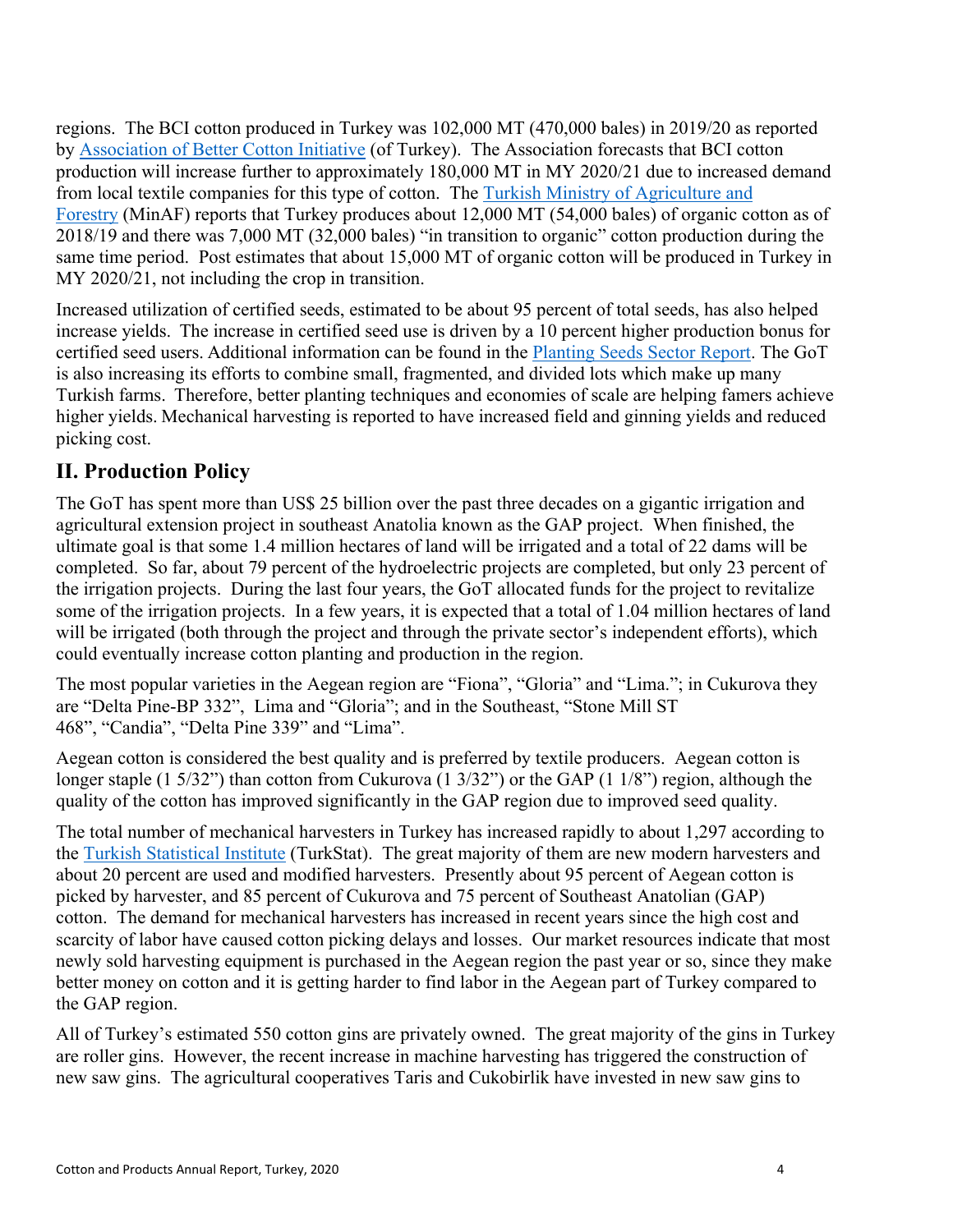regions. The BCI cotton produced in Turkey was 102,000 MT (470,000 bales) in 2019/20 as reported by [Association of Better Cotton Initiative](https://iyipamuk.org.tr/default.aspx) (of Turkey). The Association forecasts that BCI cotton production will increase further to approximately 180,000 MT in MY 2020/21 due to increased demand from local textile companies for this type of cotton. The [Turkish Ministry of Agriculture and](https://www.tarimorman.gov.tr/Sayfalar/EN/AnaSayfa.aspx)  [Forestry](https://www.tarimorman.gov.tr/Sayfalar/EN/AnaSayfa.aspx) (MinAF) reports that Turkey produces about 12,000 MT (54,000 bales) of organic cotton as of 2018/19 and there was 7,000 MT (32,000 bales) "in transition to organic" cotton production during the same time period. Post estimates that about 15,000 MT of organic cotton will be produced in Turkey in MY 2020/21, not including the crop in transition.

Increased utilization of certified seeds, estimated to be about 95 percent of total seeds, has also helped increase yields.  The increase in certified seed use is driven by a 10 percent higher production bonus for certified seed users. Additional information can be found in the [Planting Seeds Sector Report.](https://gain.fas.usda.gov/Recent%20GAIN%20Publications/Turkey%20Planting%20Seeds%20Sector%20Overview_Ankara_Turkey_3-15-2017.pdf) The GoT is also increasing its efforts to combine small, fragmented, and divided lots which make up many Turkish farms.  Therefore, better planting techniques and economies of scale are helping famers achieve higher yields. Mechanical harvesting is reported to have increased field and ginning yields and reduced picking cost.

## **II. Production Policy**

The GoT has spent more than US\$ 25 billion over the past three decades on a gigantic irrigation and agricultural extension project in southeast Anatolia known as the GAP project. When finished, the ultimate goal is that some 1.4 million hectares of land will be irrigated and a total of 22 dams will be completed. So far, about 79 percent of the hydroelectric projects are completed, but only 23 percent of the irrigation projects. During the last four years, the GoT allocated funds for the project to revitalize some of the irrigation projects. In a few years, it is expected that a total of 1.04 million hectares of land will be irrigated (both through the project and through the private sector's independent efforts), which could eventually increase cotton planting and production in the region.

The most popular varieties in the Aegean region are "Fiona", "Gloria" and "Lima."; in Cukurova they are "Delta Pine-BP 332", Lima and "Gloria"; and in the Southeast, "Stone Mill ST 468", "Candia", "Delta Pine 339" and "Lima".

Aegean cotton is considered the best quality and is preferred by textile producers. Aegean cotton is longer staple (1 5/32") than cotton from Cukurova (1 3/32") or the GAP (1 1/8") region, although the quality of the cotton has improved significantly in the GAP region due to improved seed quality.

The total number of mechanical harvesters in Turkey has increased rapidly to about 1,297 according to the [Turkish Statistical Institute](http://www.turkstat.gov.tr/Start.do;jsessionid=5KvQpwphg0qSl12DMXyW5Z31qYyQ4HGvT13LB42JjFqyTxPBX0nx!-658324340) (TurkStat). The great majority of them are new modern harvesters and about 20 percent are used and modified harvesters. Presently about 95 percent of Aegean cotton is picked by harvester, and 85 percent of Cukurova and 75 percent of Southeast Anatolian (GAP) cotton. The demand for mechanical harvesters has increased in recent years since the high cost and scarcity of labor have caused cotton picking delays and losses. Our market resources indicate that most newly sold harvesting equipment is purchased in the Aegean region the past year or so, since they make better money on cotton and it is getting harder to find labor in the Aegean part of Turkey compared to the GAP region.

All of Turkey's estimated 550 cotton gins are privately owned. The great majority of the gins in Turkey are roller gins. However, the recent increase in machine harvesting has triggered the construction of new saw gins. The agricultural cooperatives Taris and Cukobirlik have invested in new saw gins to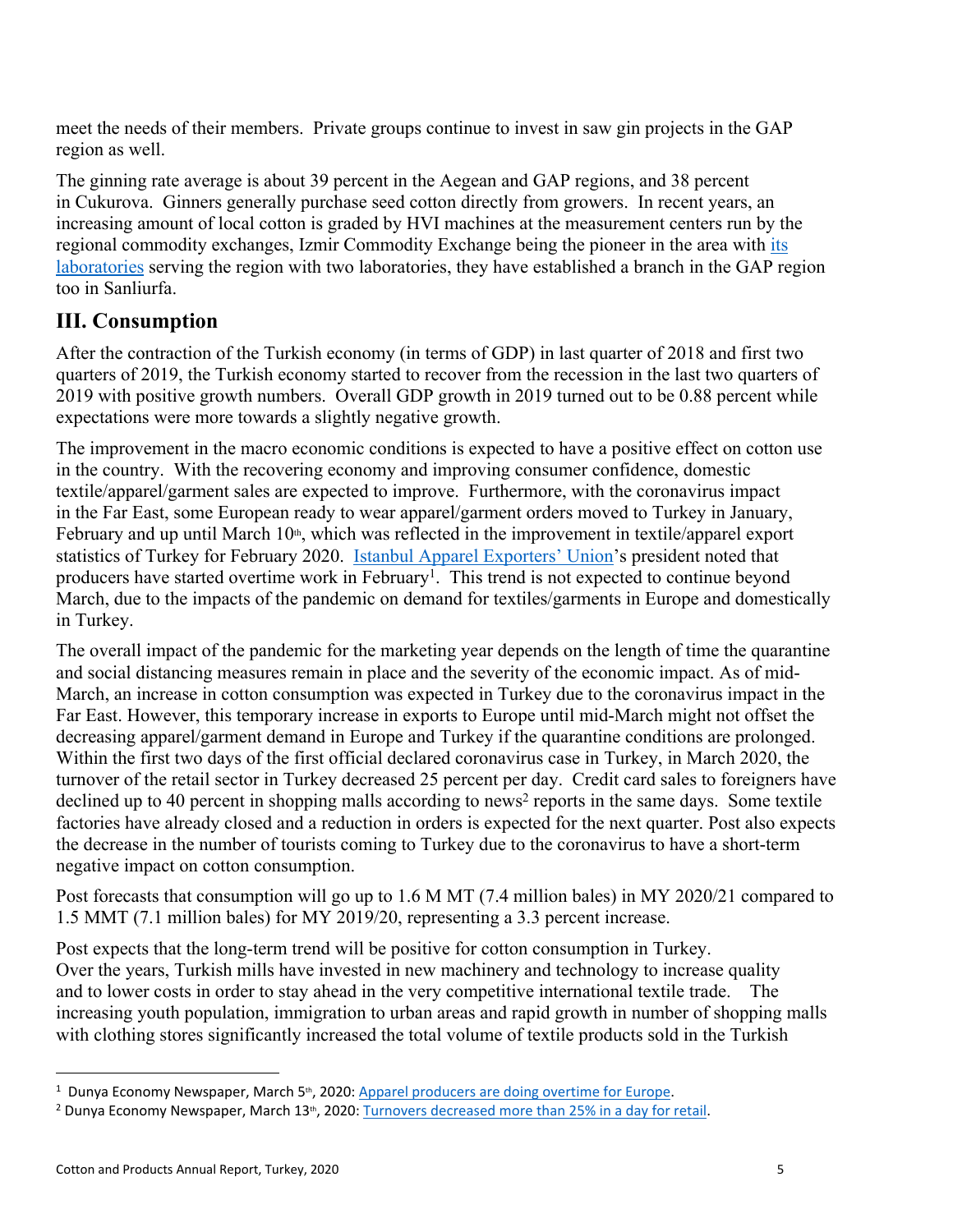meet the needs of their members. Private groups continue to invest in saw gin projects in the GAP region as well.

The ginning rate average is about 39 percent in the Aegean and GAP regions, and 38 percent in Cukurova. Ginners generally purchase seed cotton directly from growers. In recent years, an increasing amount of local cotton is graded by HVI machines at the measurement centers run by the regional commodity exchanges, Izmir Commodity Exchange being the pioneer in the area with [its](http://izladas.com.tr/)  [laboratories](http://izladas.com.tr/) serving the region with two laboratories, they have established a branch in the GAP region too in Sanliurfa.

### **III. Consumption**

After the contraction of the Turkish economy (in terms of GDP) in last quarter of 2018 and first two quarters of 2019, the Turkish economy started to recover from the recession in the last two quarters of 2019 with positive growth numbers. Overall GDP growth in 2019 turned out to be 0.88 percent while expectations were more towards a slightly negative growth.

The improvement in the macro economic conditions is expected to have a positive effect on cotton use in the country. With the recovering economy and improving consumer confidence, domestic textile/apparel/garment sales are expected to improve. Furthermore, with the coronavirus impact in the Far East, some European ready to wear apparel/garment orders moved to Turkey in January, February and up until March 10<sup>th</sup>, which was reflected in the improvement in textile/apparel export statistics of Turkey for February 2020. [Istanbul Apparel Exporters' Union](https://www.ihkib.org.tr/en)'s president noted that producers have started overtime work in February<sup>1</sup>. This trend is not expected to continue beyond March, due to the impacts of the pandemic on demand for textiles/garments in Europe and domestically in Turkey.

The overall impact of the pandemic for the marketing year depends on the length of time the quarantine and social distancing measures remain in place and the severity of the economic impact. As of mid-March, an increase in cotton consumption was expected in Turkey due to the coronavirus impact in the Far East. However, this temporary increase in exports to Europe until mid-March might not offset the decreasing apparel/garment demand in Europe and Turkey if the quarantine conditions are prolonged. Within the first two days of the first official declared coronavirus case in Turkey, in March 2020, the turnover of the retail sector in Turkey decreased 25 percent per day. Credit card sales to foreigners have declined up to 40 percent in shopping malls according to news<sup>2</sup> reports in the same days. Some textile factories have already closed and a reduction in orders is expected for the next quarter. Post also expects the decrease in the number of tourists coming to Turkey due to the coronavirus to have a short-term negative impact on cotton consumption.

Post forecasts that consumption will go up to 1.6 M MT (7.4 million bales) in MY 2020/21 compared to 1.5 MMT (7.1 million bales) for MY 2019/20, representing a 3.3 percent increase.

Post expects that the long-term trend will be positive for cotton consumption in Turkey. Over the years, Turkish mills have invested in new machinery and technology to increase quality and to lower costs in order to stay ahead in the very competitive international textile trade. The increasing youth population, immigration to urban areas and rapid growth in number of shopping malls with clothing stores significantly increased the total volume of textile products sold in the Turkish

<sup>&</sup>lt;sup>1</sup> Dunya Economy Newspaper, March 5<sup>th</sup>, 2020: [Apparel producers are doing overtime for Europe](https://www.dunya.com/ihracat/hazir-giyim-avrupa-mesaisine-basladi-haberi-464158).

<sup>&</sup>lt;sup>2</sup> Dunya Economy Newspaper, March 13<sup>th</sup>, 2020: [Turnovers decreased more than 25% in a day for retail](https://www.dunya.com/ekonomi/perakendede-cirolar-bir-gunde-yuzde-25ten-fazla-dustu-haberi-464745).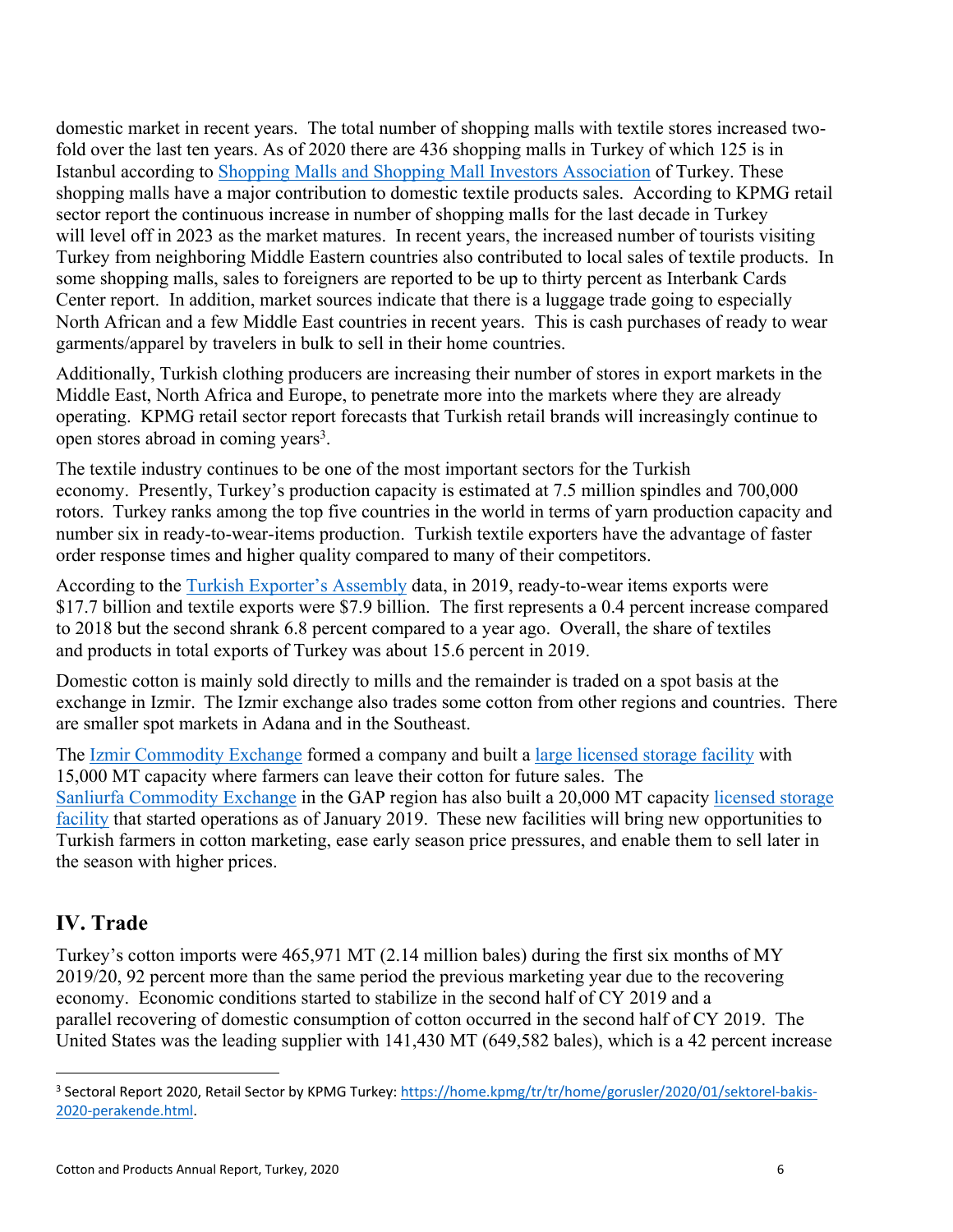domestic market in recent years. The total number of shopping malls with textile stores increased twofold over the last ten years. As of 2020 there are 436 shopping malls in Turkey of which 125 is in Istanbul according to [Shopping Malls and Shopping Mall Investors Association](http://www.ayd.org.tr/) of Turkey. These shopping malls have a major contribution to domestic textile products sales. According to KPMG retail sector report the continuous increase in number of shopping malls for the last decade in Turkey will level off in 2023 as the market matures. In recent years, the increased number of tourists visiting Turkey from neighboring Middle Eastern countries also contributed to local sales of textile products. In some shopping malls, sales to foreigners are reported to be up to thirty percent as Interbank Cards Center report. In addition, market sources indicate that there is a luggage trade going to especially North African and a few Middle East countries in recent years. This is cash purchases of ready to wear garments/apparel by travelers in bulk to sell in their home countries.

Additionally, Turkish clothing producers are increasing their number of stores in export markets in the Middle East, North Africa and Europe, to penetrate more into the markets where they are already operating. KPMG retail sector report forecasts that Turkish retail brands will increasingly continue to open stores abroad in coming years<sup>3</sup>.

The textile industry continues to be one of the most important sectors for the Turkish economy. Presently, Turkey's production capacity is estimated at 7.5 million spindles and 700,000 rotors.  Turkey ranks among the top five countries in the world in terms of yarn production capacity and number six in ready-to-wear-items production. Turkish textile exporters have the advantage of faster order response times and higher quality compared to many of their competitors. 

According to the [Turkish Exporter's Assembly](https://tim.org.tr/en/default) data, in 2019, ready-to-wear items exports were \$17.7 billion and textile exports were \$7.9 billion. The first represents a 0.4 percent increase compared to 2018 but the second shrank 6.8 percent compared to a year ago. Overall, the share of textiles and products in total exports of Turkey was about 15.6 percent in 2019. 

Domestic cotton is mainly sold directly to mills and the remainder is traded on a spot basis at the exchange in Izmir.  The Izmir exchange also trades some cotton from other regions and countries.  There are smaller spot markets in Adana and in the Southeast. 

The [Izmir Commodity Exchange](https://itb.org.tr/en/) formed a company and built a [large licensed storage facility](http://www.elidas.com.tr/) with 15,000 MT capacity where farmers can leave their cotton for future sales. The [Sanliurfa Commodity Exchange](https://www.sutb.org.tr/) in the GAP region has also built a 20,000 MT capacity [licensed storage](https://www.pamlidas.com.tr/)  [facility](https://www.pamlidas.com.tr/) that started operations as of January 2019.  These new facilities will bring new opportunities to Turkish farmers in cotton marketing, ease early season price pressures, and enable them to sell later in the season with higher prices.

## **IV. Trade**

Turkey's cotton imports were 465,971 MT (2.14 million bales) during the first six months of MY 2019/20, 92 percent more than the same period the previous marketing year due to the recovering economy. Economic conditions started to stabilize in the second half of CY 2019 and a parallel recovering of domestic consumption of cotton occurred in the second half of CY 2019. The United States was the leading supplier with 141,430 MT (649,582 bales), which is a 42 percent increase

<sup>&</sup>lt;sup>3</sup> Sectoral Report 2020, Retail Sector by KPMG Turkey: [https://home.kpmg/tr/tr/home/gorusler/2020/01/sektorel-bakis-](https://home.kpmg/tr/tr/home/gorusler/2020/01/sektorel-bakis-2020-perakende.html)[2020-perakende.html](https://home.kpmg/tr/tr/home/gorusler/2020/01/sektorel-bakis-2020-perakende.html).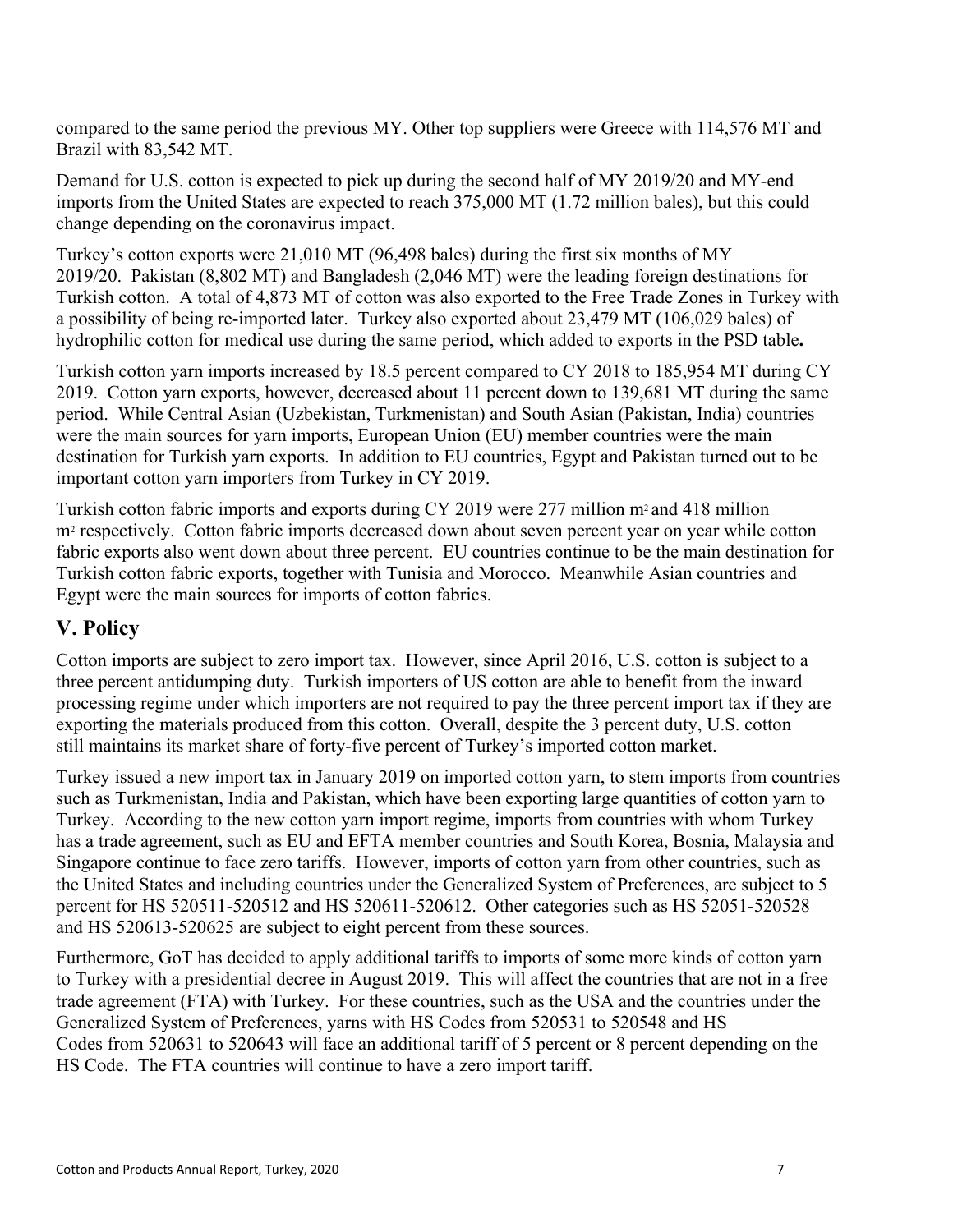compared to the same period the previous MY. Other top suppliers were Greece with 114,576 MT and Brazil with 83,542 MT.

Demand for U.S. cotton is expected to pick up during the second half of MY 2019/20 and MY-end imports from the United States are expected to reach 375,000 MT (1.72 million bales), but this could change depending on the coronavirus impact.

Turkey's cotton exports were 21,010 MT (96,498 bales) during the first six months of MY 2019/20. Pakistan (8,802 MT) and Bangladesh (2,046 MT) were the leading foreign destinations for Turkish cotton. A total of 4,873 MT of cotton was also exported to the Free Trade Zones in Turkey with a possibility of being re-imported later. Turkey also exported about 23,479 MT (106,029 bales) of hydrophilic cotton for medical use during the same period, which added to exports in the PSD table**.** 

Turkish cotton yarn imports increased by 18.5 percent compared to CY 2018 to 185,954 MT during CY 2019. Cotton yarn exports, however, decreased about 11 percent down to 139,681 MT during the same period. While Central Asian (Uzbekistan, Turkmenistan) and South Asian (Pakistan, India) countries were the main sources for yarn imports, European Union (EU) member countries were the main destination for Turkish yarn exports. In addition to EU countries, Egypt and Pakistan turned out to be important cotton yarn importers from Turkey in CY 2019.

Turkish cotton fabric imports and exports during CY 2019 were 277 million m<sup>2</sup> and 418 million m<sup>2</sup> respectively. Cotton fabric imports decreased down about seven percent year on year while cotton fabric exports also went down about three percent. EU countries continue to be the main destination for Turkish cotton fabric exports, together with Tunisia and Morocco. Meanwhile Asian countries and Egypt were the main sources for imports of cotton fabrics.

### **V. Policy**

Cotton imports are subject to zero import tax. However, since April 2016, U.S. cotton is subject to a three percent antidumping duty. Turkish importers of US cotton are able to benefit from the inward processing regime under which importers are not required to pay the three percent import tax if they are exporting the materials produced from this cotton. Overall, despite the 3 percent duty, U.S. cotton still maintains its market share of forty-five percent of Turkey's imported cotton market.

Turkey issued a new import tax in January 2019 on imported cotton yarn, to stem imports from countries such as Turkmenistan, India and Pakistan, which have been exporting large quantities of cotton yarn to Turkey. According to the new cotton yarn import regime, imports from countries with whom Turkey has a trade agreement, such as EU and EFTA member countries and South Korea, Bosnia, Malaysia and Singapore continue to face zero tariffs. However, imports of cotton yarn from other countries, such as the United States and including countries under the Generalized System of Preferences, are subject to 5 percent for HS 520511-520512 and HS 520611-520612. Other categories such as HS 52051-520528 and HS 520613-520625 are subject to eight percent from these sources.

Furthermore, GoT has decided to apply additional tariffs to imports of some more kinds of cotton yarn to Turkey with a presidential decree in August 2019. This will affect the countries that are not in a free trade agreement (FTA) with Turkey. For these countries, such as the USA and the countries under the Generalized System of Preferences, yarns with HS Codes from 520531 to 520548 and HS Codes from 520631 to 520643 will face an additional tariff of 5 percent or 8 percent depending on the HS Code. The FTA countries will continue to have a zero import tariff.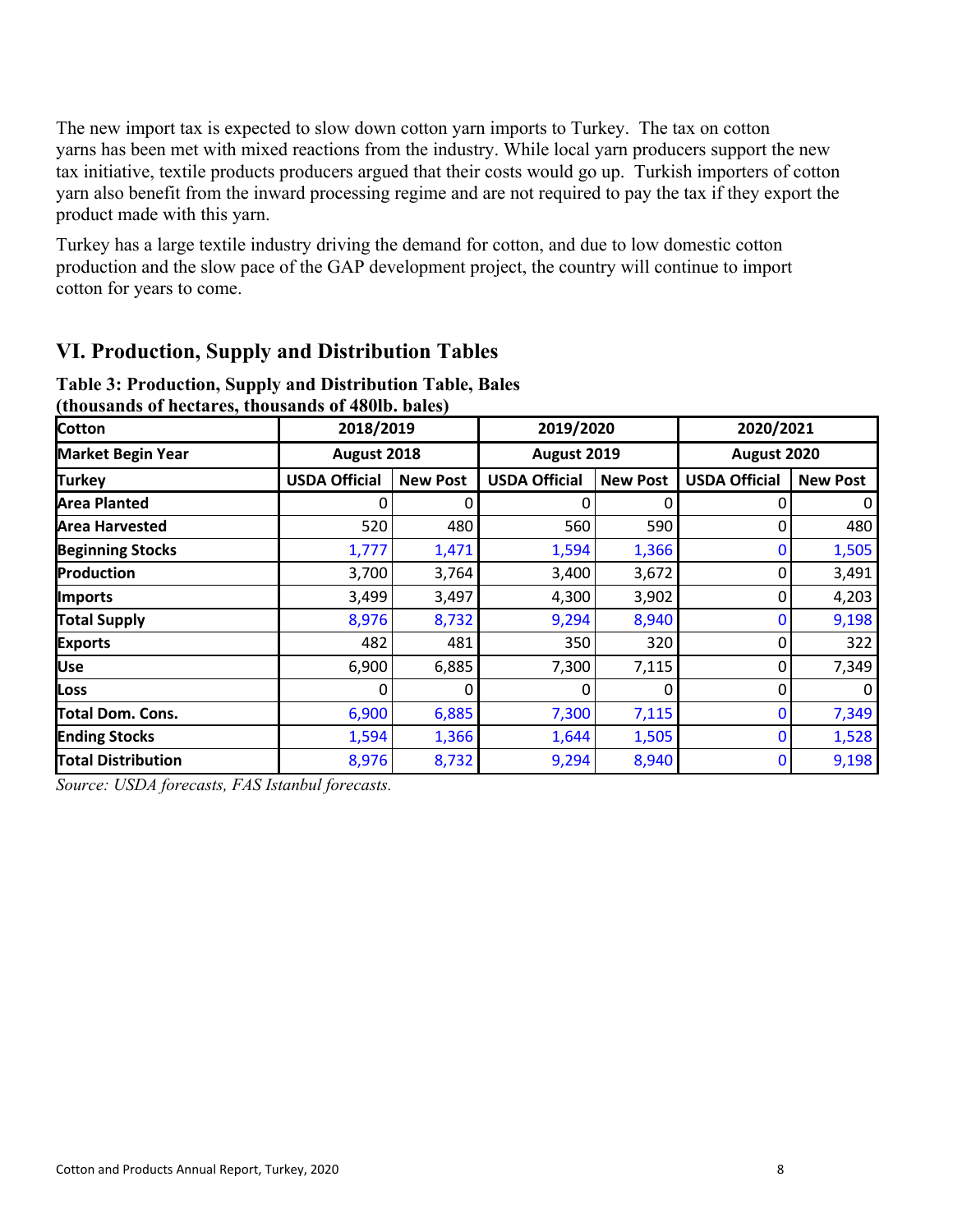The new import tax is expected to slow down cotton yarn imports to Turkey. The tax on cotton yarns has been met with mixed reactions from the industry. While local yarn producers support the new tax initiative, textile products producers argued that their costs would go up. Turkish importers of cotton yarn also benefit from the inward processing regime and are not required to pay the tax if they export the product made with this yarn.

Turkey has a large textile industry driving the demand for cotton, and due to low domestic cotton production and the slow pace of the GAP development project, the country will continue to import cotton for years to come.

### **VI. Production, Supply and Distribution Tables**

| (industing of nectares, thousands of 48010, bales) |                      |                 |                      |                 |                      |                 |  |
|----------------------------------------------------|----------------------|-----------------|----------------------|-----------------|----------------------|-----------------|--|
| <b>Cotton</b>                                      | 2018/2019            | 2019/2020       |                      | 2020/2021       |                      |                 |  |
| <b>Market Begin Year</b>                           | August 2018          |                 | August 2019          |                 | August 2020          |                 |  |
| <b>Turkey</b>                                      | <b>USDA Official</b> | <b>New Post</b> | <b>USDA Official</b> | <b>New Post</b> | <b>USDA Official</b> | <b>New Post</b> |  |
| <b>Area Planted</b>                                |                      | O               | 0                    | 0               | 0                    | 0               |  |
| <b>Area Harvested</b>                              | 520                  | 480             | 560                  | 590             | 0                    | 480             |  |
| <b>Beginning Stocks</b>                            | 1,777                | 1,471           | 1,594                | 1,366           | 0                    | 1,505           |  |
| Production                                         | 3,700                | 3,764           | 3,400                | 3,672           | 0                    | 3,491           |  |
| <b>Imports</b>                                     | 3,499                | 3,497           | 4,300                | 3,902           | 0                    | 4,203           |  |
| <b>Total Supply</b>                                | 8,976                | 8,732           | 9,294                | 8,940           | 0                    | 9,198           |  |
| <b>Exports</b>                                     | 482                  | 481             | 350                  | 320             | 0                    | 322             |  |
| <b>Use</b>                                         | 6,900                | 6,885           | 7,300                | 7,115           | 0                    | 7,349           |  |
| Loss                                               | 0                    | 0               | 0                    | 0               | 0                    | 0               |  |
| Total Dom. Cons.                                   | 6,900                | 6,885           | 7,300                | 7,115           | 0                    | 7,349           |  |
| <b>Ending Stocks</b>                               | 1,594                | 1,366           | 1,644                | 1,505           | 0                    | 1,528           |  |
| <b>Total Distribution</b>                          | 8,976                | 8,732           | 9,294                | 8,940           | $\mathbf 0$          | 9,198           |  |

### **Table 3: Production, Supply and Distribution Table, Bales (thousands of hectares, thousands of 480lb. bales)**

*Source: USDA forecasts, FAS Istanbul forecasts.*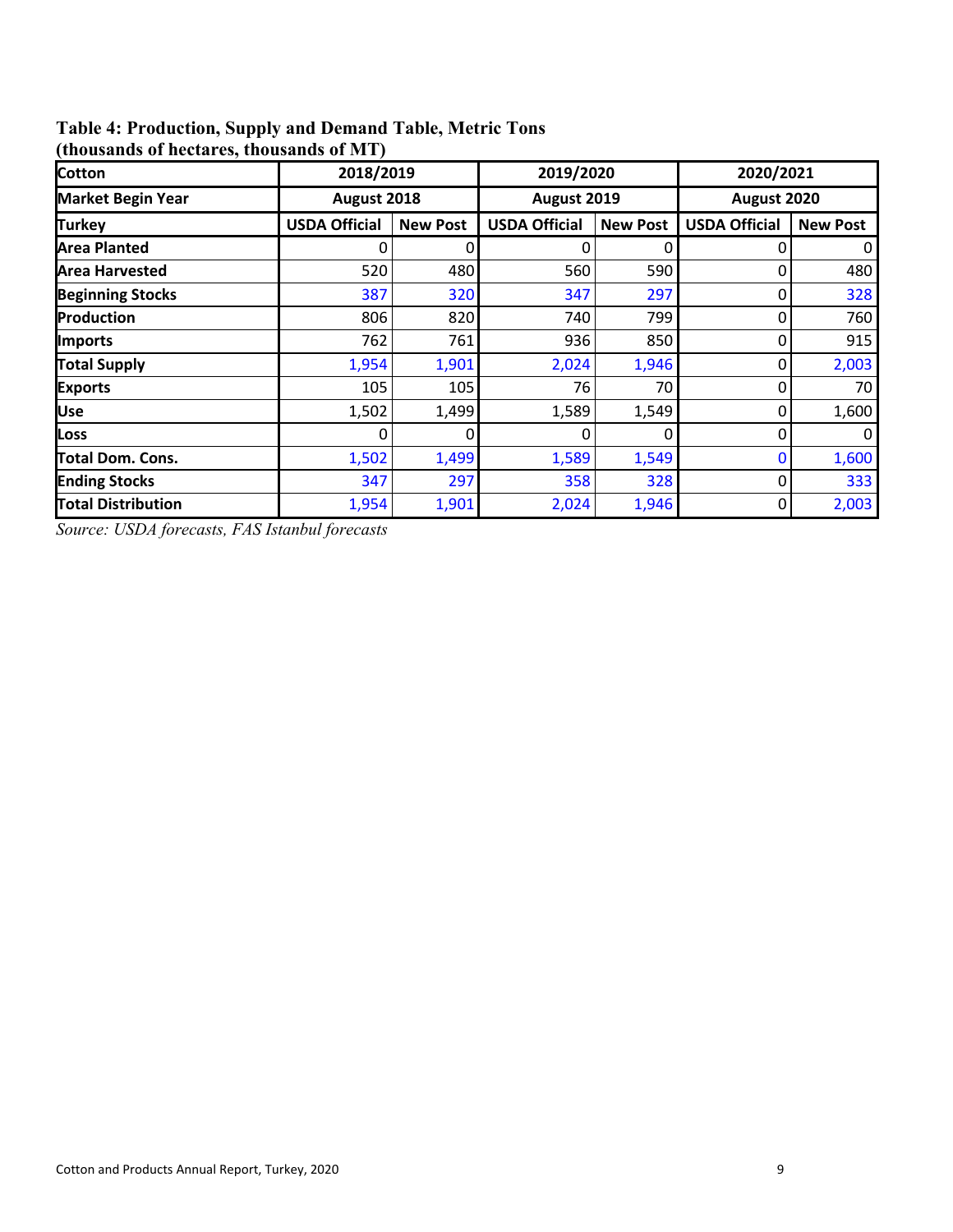### **Table 4: Production, Supply and Demand Table, Metric Tons**

| <b>Cotton</b>             | 2018/2019            |                 | 2019/2020            |                 | 2020/2021            |                 |  |
|---------------------------|----------------------|-----------------|----------------------|-----------------|----------------------|-----------------|--|
| <b>Market Begin Year</b>  | August 2018          |                 |                      | August 2019     |                      | August 2020     |  |
| <b>Turkey</b>             | <b>USDA Official</b> | <b>New Post</b> | <b>USDA Official</b> | <b>New Post</b> | <b>USDA Official</b> | <b>New Post</b> |  |
| <b>Area Planted</b>       |                      |                 | 0                    | O               |                      | 0               |  |
| <b>Area Harvested</b>     | 520                  | 480             | 560                  | 590             | 0                    | 480             |  |
| <b>Beginning Stocks</b>   | 387                  | 320             | 347                  | 297             | 0                    | 328             |  |
| Production                | 806                  | 820             | 740                  | 799             | 0                    | 760             |  |
| Imports                   | 762                  | 761             | 936                  | 850             | 0                    | 915             |  |
| <b>Total Supply</b>       | 1,954                | 1,901           | 2,024                | 1,946           | 0                    | 2,003           |  |
| <b>Exports</b>            | 105                  | 105             | 76                   | 70              | 0                    | 70              |  |
| Use                       | 1,502                | 1,499           | 1,589                | 1,549           | 0                    | 1,600           |  |
| Loss                      |                      | 0               | 0                    | O               | 0                    | 0               |  |
| <b>Total Dom. Cons.</b>   | 1,502                | 1,499           | 1,589                | 1,549           | $\bf{0}$             | 1,600           |  |
| <b>Ending Stocks</b>      | 347                  | 297             | 358                  | 328             | 0                    | 333             |  |
| <b>Total Distribution</b> | 1,954                | 1,901           | 2,024                | 1,946           | 0                    | 2,003           |  |

**(thousands of hectares, thousands of MT)**

*Source: USDA forecasts, FAS Istanbul forecasts*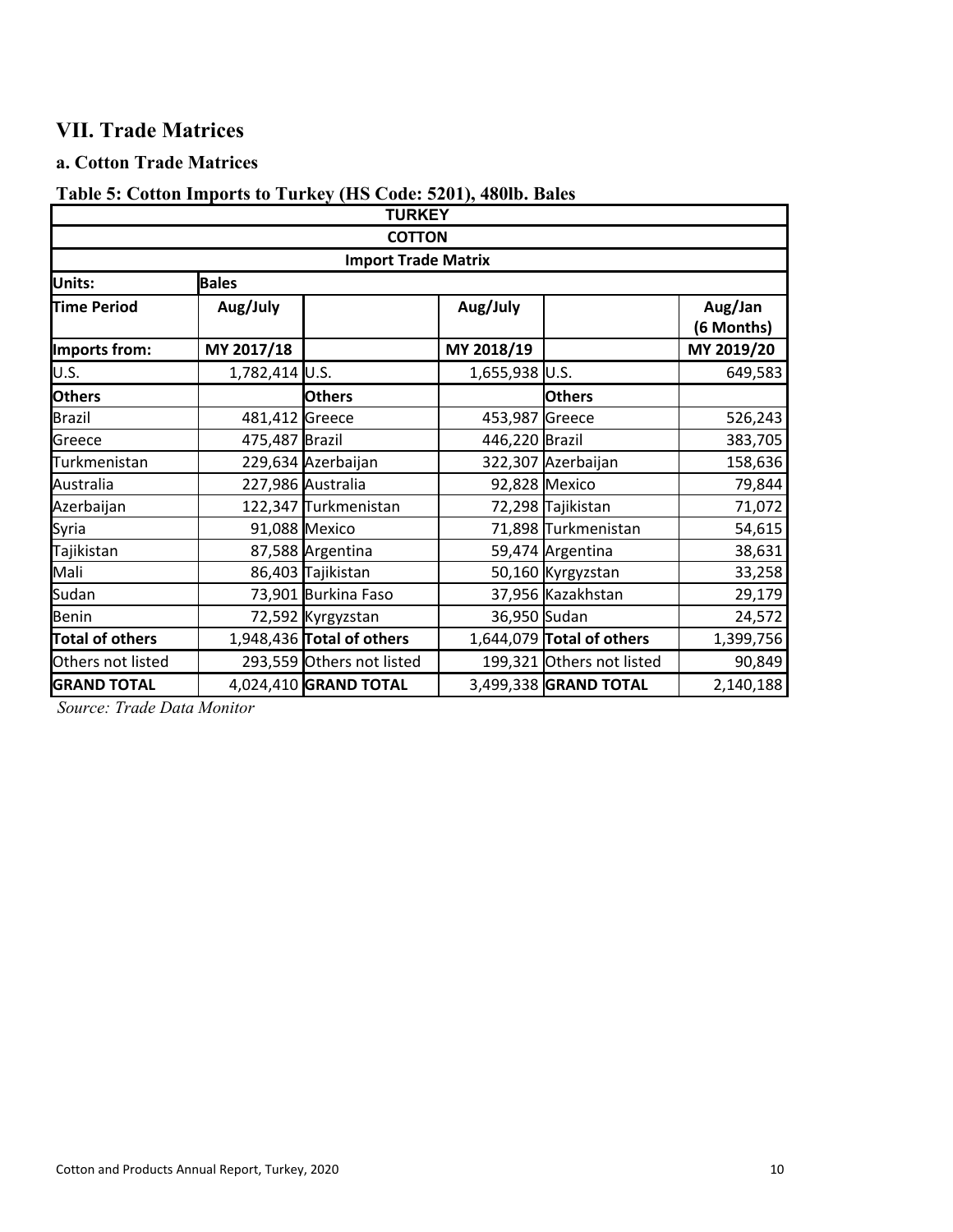## **VII. Trade Matrices**

### **a. Cotton Trade Matrices**

### **Table 5: Cotton Imports to Turkey (HS Code: 5201), 480lb. Bales**

| <b>TURKEY</b>          |                |                            |                |                           |                       |
|------------------------|----------------|----------------------------|----------------|---------------------------|-----------------------|
| <b>COTTON</b>          |                |                            |                |                           |                       |
|                        |                | <b>Import Trade Matrix</b> |                |                           |                       |
| Units:                 | <b>Bales</b>   |                            |                |                           |                       |
| <b>Time Period</b>     | Aug/July       |                            | Aug/July       |                           | Aug/Jan<br>(6 Months) |
| Imports from:          | MY 2017/18     |                            | MY 2018/19     |                           | MY 2019/20            |
| U.S.                   | 1,782,414 U.S. |                            | 1,655,938 U.S. |                           | 649,583               |
| <b>Others</b>          |                | <b>Others</b>              |                | <b>Others</b>             |                       |
| <b>Brazil</b>          | 481,412 Greece |                            | 453,987 Greece |                           | 526,243               |
| Greece                 | 475,487 Brazil |                            | 446,220 Brazil |                           | 383,705               |
| Turkmenistan           |                | 229,634 Azerbaijan         |                | 322,307 Azerbaijan        | 158,636               |
| Australia              |                | 227,986 Australia          |                | 92,828 Mexico             | 79,844                |
| Azerbaijan             |                | 122,347 Turkmenistan       |                | 72,298 Tajikistan         | 71,072                |
| Syria                  |                | 91,088 Mexico              |                | 71,898 Turkmenistan       | 54,615                |
| Tajikistan             |                | 87,588 Argentina           |                | 59,474 Argentina          | 38,631                |
| Mali                   |                | 86,403 Tajikistan          |                | 50,160 Kyrgyzstan         | 33,258                |
| Sudan                  |                | 73,901 Burkina Faso        |                | 37,956 Kazakhstan         | 29,179                |
| <b>Benin</b>           |                | 72,592 Kyrgyzstan          | 36,950 Sudan   |                           | 24,572                |
| <b>Total of others</b> |                | 1,948,436 Total of others  |                | 1,644,079 Total of others | 1,399,756             |
| Others not listed      |                | 293,559 Others not listed  |                | 199,321 Others not listed | 90,849                |
| <b>GRAND TOTAL</b>     |                | 4,024,410 GRAND TOTAL      |                | 3,499,338 GRAND TOTAL     | 2,140,188             |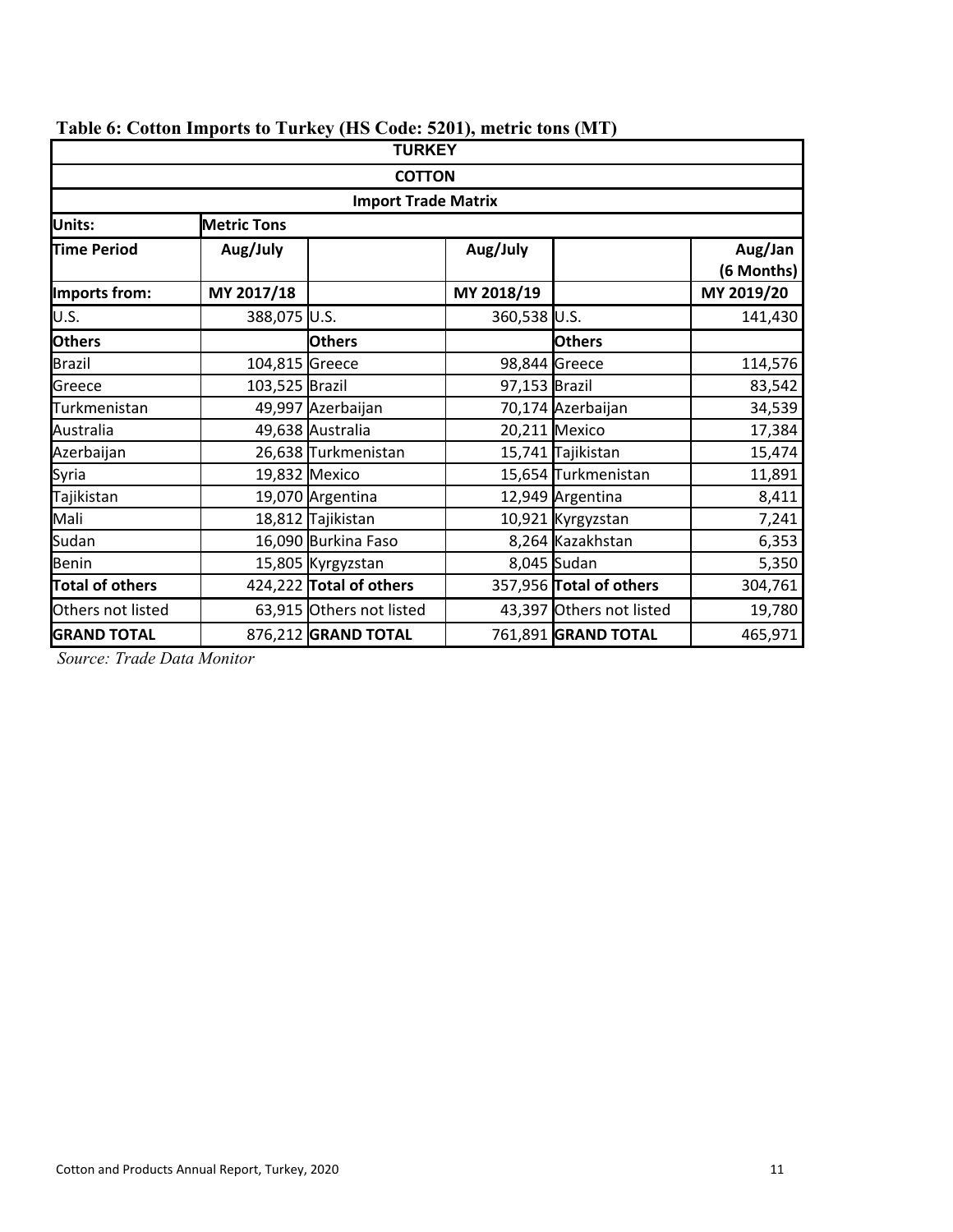| <b>TURKEY</b>          |                            |                          |               |                          |                       |  |  |
|------------------------|----------------------------|--------------------------|---------------|--------------------------|-----------------------|--|--|
| <b>COTTON</b>          |                            |                          |               |                          |                       |  |  |
|                        | <b>Import Trade Matrix</b> |                          |               |                          |                       |  |  |
| Units:                 | <b>Metric Tons</b>         |                          |               |                          |                       |  |  |
| <b>Time Period</b>     | Aug/July                   |                          | Aug/July      |                          | Aug/Jan<br>(6 Months) |  |  |
| Imports from:          | MY 2017/18                 |                          | MY 2018/19    |                          | MY 2019/20            |  |  |
| U.S.                   | 388,075 U.S.               |                          | 360,538 U.S.  |                          | 141,430               |  |  |
| <b>Others</b>          |                            | <b>Others</b>            |               | <b>Others</b>            |                       |  |  |
| <b>Brazil</b>          | 104,815 Greece             |                          |               | 98,844 Greece            | 114,576               |  |  |
| Greece                 | 103,525 Brazil             |                          | 97,153 Brazil |                          | 83,542                |  |  |
| Turkmenistan           |                            | 49,997 Azerbaijan        |               | 70,174 Azerbaijan        | 34,539                |  |  |
| Australia              |                            | 49,638 Australia         |               | 20,211 Mexico            | 17,384                |  |  |
| Azerbaijan             |                            | 26,638 Turkmenistan      |               | 15,741 Tajikistan        | 15,474                |  |  |
| Syria                  |                            | 19,832 Mexico            |               | 15,654 Turkmenistan      | 11,891                |  |  |
| Tajikistan             |                            | 19,070 Argentina         |               | 12,949 Argentina         | 8,411                 |  |  |
| Mali                   |                            | 18,812 Tajikistan        |               | 10,921 Kyrgyzstan        | 7,241                 |  |  |
| Sudan                  |                            | 16,090 Burkina Faso      |               | 8,264 Kazakhstan         | 6,353                 |  |  |
| <b>Benin</b>           |                            | 15,805 Kyrgyzstan        |               | 8,045 Sudan              | 5,350                 |  |  |
| <b>Total of others</b> |                            | 424,222 Total of others  |               | 357,956 Total of others  | 304,761               |  |  |
| Others not listed      |                            | 63,915 Others not listed |               | 43,397 Others not listed | 19,780                |  |  |
| <b>GRAND TOTAL</b>     |                            | 876,212 GRAND TOTAL      |               | 761,891 GRAND TOTAL      | 465,971               |  |  |

## **Table 6: Cotton Imports to Turkey (HS Code: 5201), metric tons (MT)**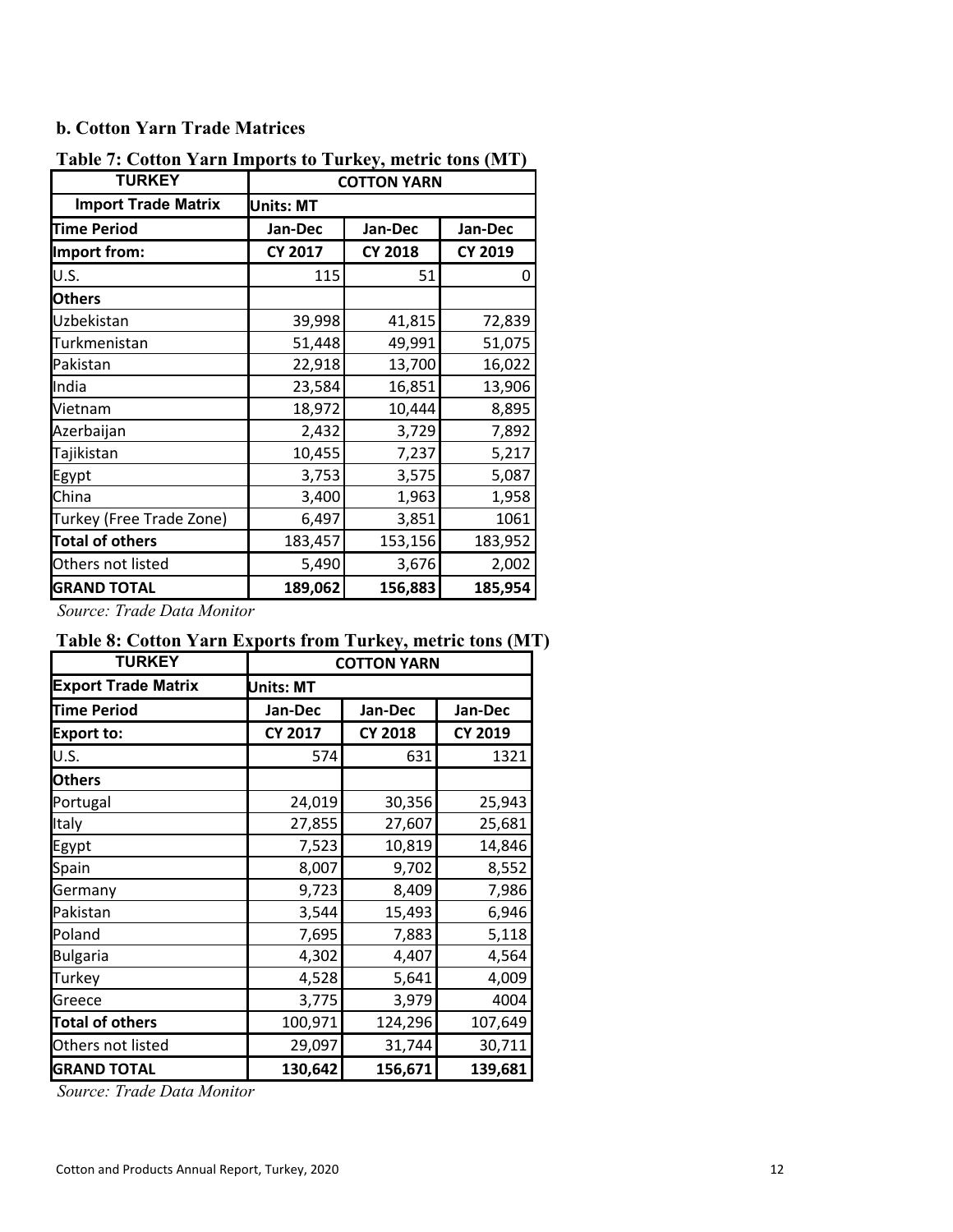#### **b. Cotton Yarn Trade Matrices**

| <b>TURKEY</b>              | <b>COTTON YARN</b> |                |         |  |
|----------------------------|--------------------|----------------|---------|--|
| <b>Import Trade Matrix</b> | <b>Units: MT</b>   |                |         |  |
| <b>Time Period</b>         | Jan-Dec            | Jan-Dec        | Jan-Dec |  |
| Import from:               | <b>CY 2017</b>     | <b>CY 2018</b> | CY 2019 |  |
| U.S.                       | 115                | 51             | 0       |  |
| <b>Others</b>              |                    |                |         |  |
| Uzbekistan                 | 39,998             | 41,815         | 72,839  |  |
| Turkmenistan               | 51,448             | 49,991         | 51,075  |  |
| Pakistan                   | 22,918             | 13,700         | 16,022  |  |
| India                      | 23,584             | 16,851         | 13,906  |  |
| Vietnam                    | 18,972             | 10,444         | 8,895   |  |
| Azerbaijan                 | 2,432              | 3,729          | 7,892   |  |
| Tajikistan                 | 10,455             | 7,237          | 5,217   |  |
| Egypt                      | 3,753              | 3,575          | 5,087   |  |
| China                      | 3,400              | 1,963          | 1,958   |  |
| Turkey (Free Trade Zone)   | 6,497              | 3,851          | 1061    |  |
| <b>Total of others</b>     | 183,457            | 153,156        | 183,952 |  |
| Others not listed          | 5,490              | 3,676          | 2,002   |  |
| <b>GRAND TOTAL</b>         | 189,062            | 156,883        | 185,954 |  |

**Table 7: Cotton Yarn Imports to Turkey, metric tons (MT)** 

*Source: Trade Data Monitor*

### **Table 8: Cotton Yarn Exports from Turkey, metric tons (MT)**

| <b>TURKEY</b>              |                  | <b>COTTON YARN</b> |                |  |  |  |
|----------------------------|------------------|--------------------|----------------|--|--|--|
| <b>Export Trade Matrix</b> | <b>Units: MT</b> |                    |                |  |  |  |
| <b>Time Period</b>         | Jan-Dec          | Jan-Dec            | Jan-Dec        |  |  |  |
| <b>Export to:</b>          | <b>CY 2017</b>   | <b>CY 2018</b>     | <b>CY 2019</b> |  |  |  |
| U.S.                       | 574              | 631                | 1321           |  |  |  |
| <b>Others</b>              |                  |                    |                |  |  |  |
| Portugal                   | 24,019           | 30,356             | 25,943         |  |  |  |
| Italy                      | 27,855           | 27,607             | 25,681         |  |  |  |
| Egypt                      | 7,523            | 10,819             | 14,846         |  |  |  |
| Spain                      | 8,007            | 9,702              | 8,552          |  |  |  |
| Germany                    | 9,723            | 8,409              | 7,986          |  |  |  |
| Pakistan                   | 3,544            | 15,493             | 6,946          |  |  |  |
| Poland                     | 7,695            | 7,883              | 5,118          |  |  |  |
| <b>Bulgaria</b>            | 4,302            | 4,407              | 4,564          |  |  |  |
| Turkey                     | 4,528            | 5,641              | 4,009          |  |  |  |
| Greece                     | 3,775            | 3,979              | 4004           |  |  |  |
| <b>Total of others</b>     | 100,971          | 124,296            | 107,649        |  |  |  |
| Others not listed          | 29,097           | 31,744             | 30,711         |  |  |  |
| <b>GRAND TOTAL</b>         | 130,642          | 156,671            | 139,681        |  |  |  |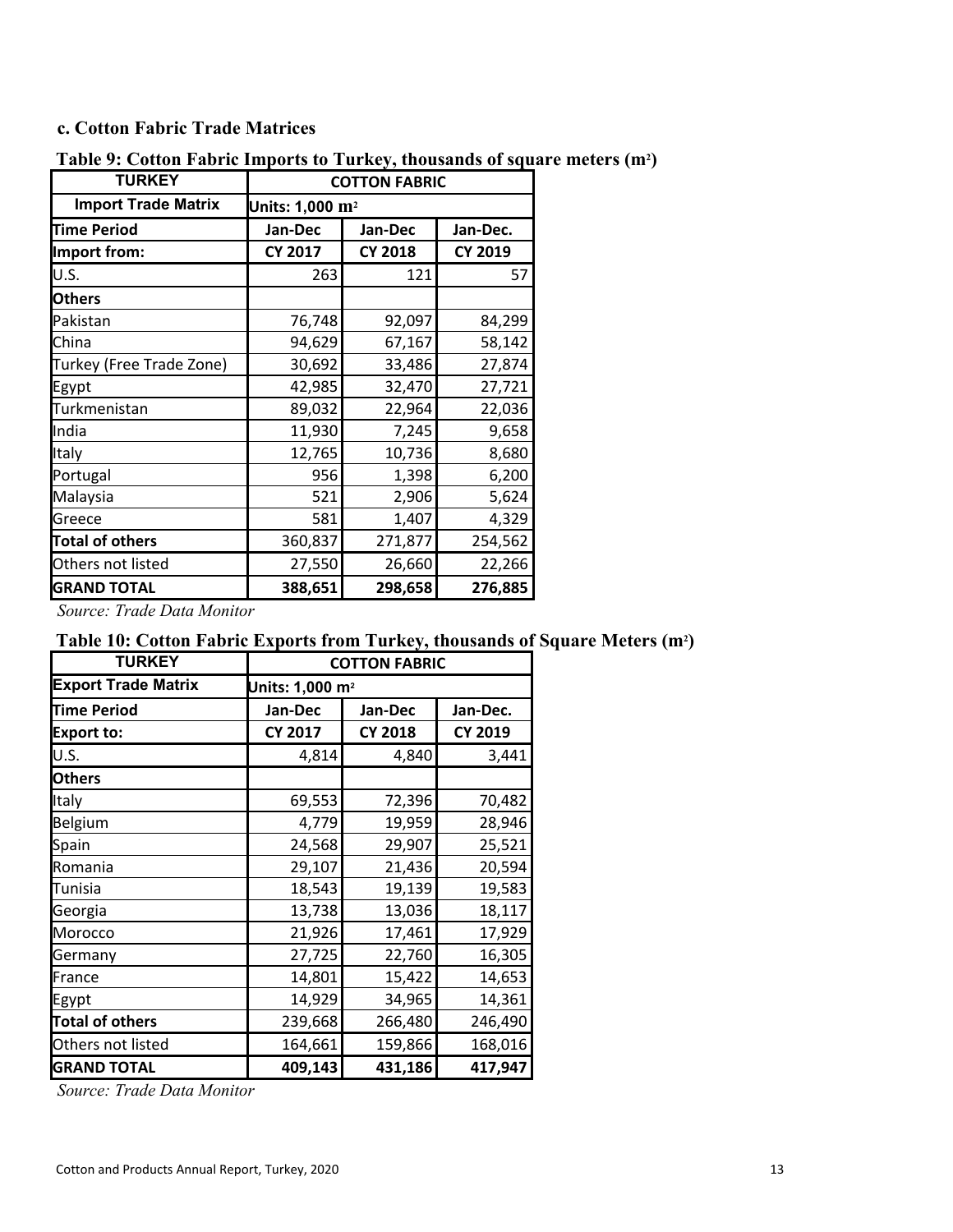#### **c. Cotton Fabric Trade Matrices**

| <b>TURKEY</b>              | <b>COTTON FABRIC</b>        |                |                |  |
|----------------------------|-----------------------------|----------------|----------------|--|
| <b>Import Trade Matrix</b> | Units: 1,000 m <sup>2</sup> |                |                |  |
| <b>Time Period</b>         | Jan-Dec                     | Jan-Dec        | Jan-Dec.       |  |
| Import from:               | <b>CY 2017</b>              | <b>CY 2018</b> | <b>CY 2019</b> |  |
| U.S.                       | 263                         | 121            | 57             |  |
| <b>Others</b>              |                             |                |                |  |
| Pakistan                   | 76,748                      | 92,097         | 84,299         |  |
| China                      | 94,629                      | 67,167         | 58,142         |  |
| Turkey (Free Trade Zone)   | 30,692                      | 33,486         | 27,874         |  |
| Egypt                      | 42,985                      | 32,470         | 27,721         |  |
| Turkmenistan               | 89,032                      | 22,964         | 22,036         |  |
| India                      | 11,930                      | 7,245          | 9,658          |  |
| Italy                      | 12,765                      | 10,736         | 8,680          |  |
| Portugal                   | 956                         | 1,398          | 6,200          |  |
| Malaysia                   | 521                         | 2,906          | 5,624          |  |
| Greece                     | 581                         | 1,407          | 4,329          |  |
| <b>Total of others</b>     | 360,837                     | 271,877        | 254,562        |  |
| Others not listed          | 27,550                      | 26,660         | 22,266         |  |
| <b>GRAND TOTAL</b>         | 388,651                     | 298,658        | 276,885        |  |

### **Table 9: Cotton Fabric Imports to Turkey, thousands of square meters (m2)**

*Source: Trade Data Monitor*

### **Table 10: Cotton Fabric Exports from Turkey, thousands of Square Meters (m2)**

| <b>TURKEY</b>              |                | <b>COTTON FABRIC</b>        |                |  |  |  |
|----------------------------|----------------|-----------------------------|----------------|--|--|--|
| <b>Export Trade Matrix</b> |                | Units: 1,000 m <sup>2</sup> |                |  |  |  |
| <b>Time Period</b>         | Jan-Dec        | Jan-Dec.<br>Jan-Dec         |                |  |  |  |
| <b>Export to:</b>          | <b>CY 2017</b> | <b>CY 2018</b>              | <b>CY 2019</b> |  |  |  |
| U.S.                       | 4,814          | 4,840                       | 3,441          |  |  |  |
| <b>Others</b>              |                |                             |                |  |  |  |
| Italy                      | 69,553         | 72,396                      | 70,482         |  |  |  |
| Belgium                    | 4,779          | 19,959                      | 28,946         |  |  |  |
| Spain                      | 24,568         | 29,907                      | 25,521         |  |  |  |
| Romania                    | 29,107         | 21,436                      | 20,594         |  |  |  |
| Tunisia                    | 18,543         | 19,139                      | 19,583         |  |  |  |
| Georgia                    | 13,738         | 13,036                      | 18,117         |  |  |  |
| Morocco                    | 21,926         | 17,461                      | 17,929         |  |  |  |
| Germany                    | 27,725         | 22,760                      | 16,305         |  |  |  |
| France                     | 14,801         | 15,422                      | 14,653         |  |  |  |
| Egypt                      | 14,929         | 34,965                      | 14,361         |  |  |  |
| <b>Total of others</b>     | 239,668        | 266,480                     | 246,490        |  |  |  |
| Others not listed          | 164,661        | 159,866                     | 168,016        |  |  |  |
| <b>GRAND TOTAL</b>         | 409,143        | 431,186                     | 417,947        |  |  |  |